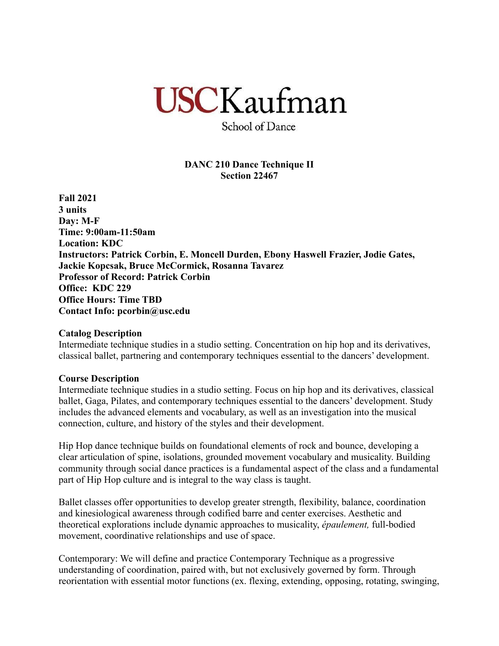# **USCKaufman**

School of Dance

# **DANC 210 Dance Technique II Section 22467**

**Fall 2021 3 units Day: M-F Time: 9:00am-11:50am Location: KDC Instructors: Patrick Corbin, E. Moncell Durden, Ebony Haswell Frazier, Jodie Gates, Jackie Kopcsak, Bruce McCormick, Rosanna Tavarez Professor of Record: Patrick Corbin Office: KDC 229 Office Hours: Time TBD Contact Info: pcorbin@usc.edu**

## **Catalog Description**

Intermediate technique studies in a studio setting. Concentration on hip hop and its derivatives, classical ballet, partnering and contemporary techniques essential to the dancers' development.

## **Course Description**

Intermediate technique studies in a studio setting. Focus on hip hop and its derivatives, classical ballet, Gaga, Pilates, and contemporary techniques essential to the dancers' development. Study includes the advanced elements and vocabulary, as well as an investigation into the musical connection, culture, and history of the styles and their development.

Hip Hop dance technique builds on foundational elements of rock and bounce, developing a clear articulation of spine, isolations, grounded movement vocabulary and musicality. Building community through social dance practices is a fundamental aspect of the class and a fundamental part of Hip Hop culture and is integral to the way class is taught.

Ballet classes offer opportunities to develop greater strength, flexibility, balance, coordination and kinesiological awareness through codified barre and center exercises. Aesthetic and theoretical explorations include dynamic approaches to musicality, *épaulement,* full-bodied movement, coordinative relationships and use of space.

Contemporary: We will define and practice Contemporary Technique as a progressive understanding of coordination, paired with, but not exclusively governed by form. Through reorientation with essential motor functions (ex. flexing, extending, opposing, rotating, swinging,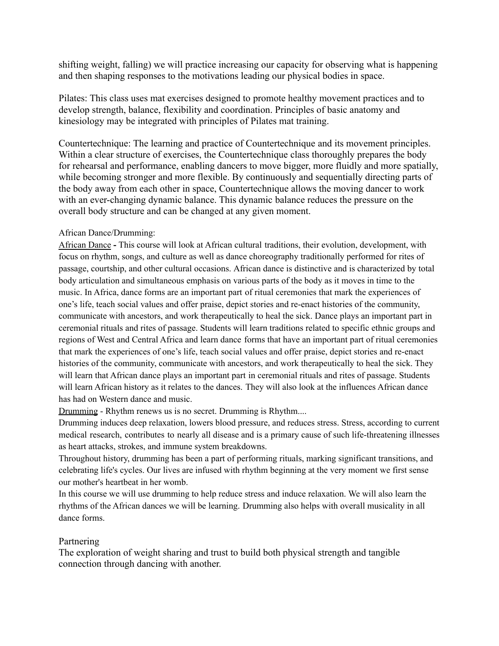shifting weight, falling) we will practice increasing our capacity for observing what is happening and then shaping responses to the motivations leading our physical bodies in space.

Pilates: This class uses mat exercises designed to promote healthy movement practices and to develop strength, balance, flexibility and coordination. Principles of basic anatomy and kinesiology may be integrated with principles of Pilates mat training.

Countertechnique: The learning and practice of Countertechnique and its movement principles. Within a clear structure of exercises, the Countertechnique class thoroughly prepares the body for rehearsal and performance, enabling dancers to move bigger, more fluidly and more spatially, while becoming stronger and more flexible. By continuously and sequentially directing parts of the body away from each other in space, Countertechnique allows the moving dancer to work with an ever-changing dynamic balance. This dynamic balance reduces the pressure on the overall body structure and can be changed at any given moment.

## African Dance/Drumming:

African Dance **-** This course will look at African cultural traditions, their evolution, development, with focus on rhythm, songs, and culture as well as dance choreography traditionally performed for rites of passage, courtship, and other cultural occasions. African dance is distinctive and is characterized by total body articulation and simultaneous emphasis on various parts of the body as it moves in time to the music. In Africa, dance forms are an important part of ritual ceremonies that mark the experiences of one's life, teach social values and offer praise, depict stories and re-enact histories of the community, communicate with ancestors, and work therapeutically to heal the sick. Dance plays an important part in ceremonial rituals and rites of passage. Students will learn traditions related to specific ethnic groups and regions of West and Central Africa and learn dance forms that have an important part of ritual ceremonies that mark the experiences of one's life, teach social values and offer praise, depict stories and re-enact histories of the community, communicate with ancestors, and work therapeutically to heal the sick. They will learn that African dance plays an important part in ceremonial rituals and rites of passage. Students will learn African history as it relates to the dances. They will also look at the influences African dance has had on Western dance and music.

Drumming - Rhythm renews us is no secret. Drumming is Rhythm....

Drumming induces deep relaxation, lowers blood pressure, and reduces stress. Stress, according to current medical research, contributes to nearly all disease and is a primary cause of such life-threatening illnesses as heart attacks, strokes, and immune system breakdowns.

Throughout history, drumming has been a part of performing rituals, marking significant transitions, and celebrating life's cycles. Our lives are infused with rhythm beginning at the very moment we first sense our mother's heartbeat in her womb.

In this course we will use drumming to help reduce stress and induce relaxation. We will also learn the rhythms of the African dances we will be learning. Drumming also helps with overall musicality in all dance forms.

## Partnering

The exploration of weight sharing and trust to build both physical strength and tangible connection through dancing with another.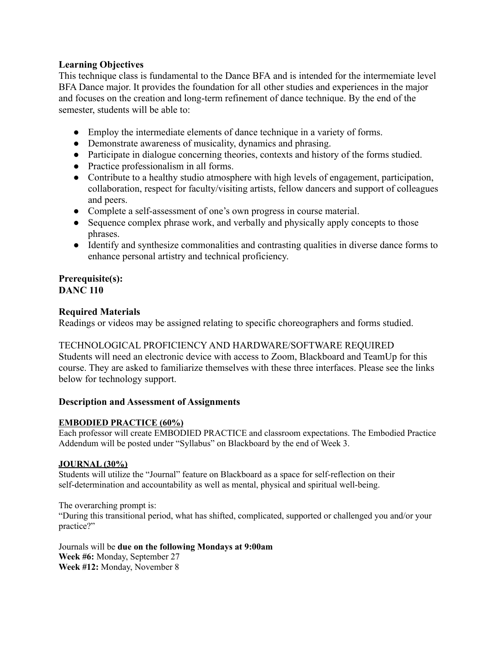# **Learning Objectives**

This technique class is fundamental to the Dance BFA and is intended for the intermemiate level BFA Dance major. It provides the foundation for all other studies and experiences in the major and focuses on the creation and long-term refinement of dance technique. By the end of the semester, students will be able to:

- Employ the intermediate elements of dance technique in a variety of forms.
- Demonstrate awareness of musicality, dynamics and phrasing.
- Participate in dialogue concerning theories, contexts and history of the forms studied.
- Practice professionalism in all forms.
- Contribute to a healthy studio atmosphere with high levels of engagement, participation, collaboration, respect for faculty/visiting artists, fellow dancers and support of colleagues and peers.
- Complete a self-assessment of one's own progress in course material.
- Sequence complex phrase work, and verbally and physically apply concepts to those phrases.
- Identify and synthesize commonalities and contrasting qualities in diverse dance forms to enhance personal artistry and technical proficiency.

#### **Prerequisite(s): DANC 110**

# **Required Materials**

Readings or videos may be assigned relating to specific choreographers and forms studied.

## TECHNOLOGICAL PROFICIENCY AND HARDWARE/SOFTWARE REQUIRED

Students will need an electronic device with access to Zoom, Blackboard and TeamUp for this course. They are asked to familiarize themselves with these three interfaces. Please see the links below for technology support.

## **Description and Assessment of Assignments**

## **EMBODIED PRACTICE (60%)**

Each professor will create EMBODIED PRACTICE and classroom expectations. The Embodied Practice Addendum will be posted under "Syllabus" on Blackboard by the end of Week 3.

## **JOURNAL (30%)**

Students will utilize the "Journal" feature on Blackboard as a space for self-reflection on their self-determination and accountability as well as mental, physical and spiritual well-being.

The overarching prompt is:

"During this transitional period, what has shifted, complicated, supported or challenged you and/or your practice?"

Journals will be **due on the following Mondays at 9:00am Week #6:** Monday, September 27 **Week #12:** Monday, November 8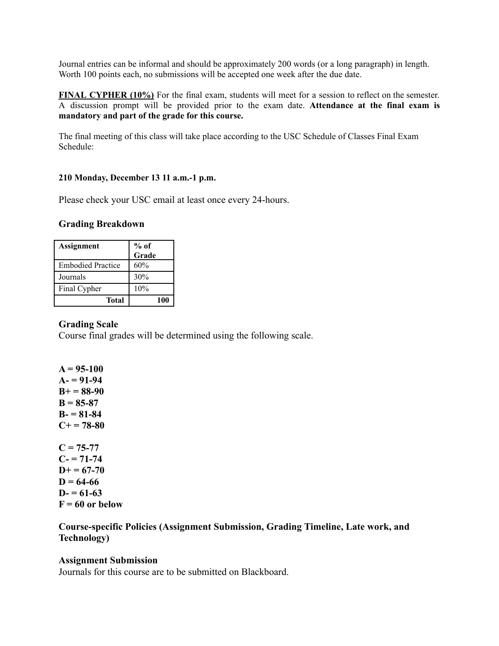Journal entries can be informal and should be approximately 200 words (or a long paragraph) in length. Worth 100 points each, no submissions will be accepted one week after the due date.

**FINAL CYPHER (10%)** For the final exam, students will meet for a session to reflect on the semester. A discussion prompt will be provided prior to the exam date. **Attendance at the final exam is mandatory and part of the grade for this course.**

The final meeting of this class will take place according to the USC Schedule of Classes Final Exam Schedule:

## **210 Monday, December 13 11 a.m.-1 p.m.**

Please check your USC email at least once every 24-hours.

## **Grading Breakdown**

| <b>Assignment</b>        | $%$ of<br>Grade |
|--------------------------|-----------------|
| <b>Embodied Practice</b> | 60%             |
| Journals                 | 30%             |
| Final Cypher             | 10%             |
| Total                    | 100             |

## **Grading Scale**

Course final grades will be determined using the following scale.

**A = 95-100 A- = 91-94 B+ = 88-90 B = 85-87 B- = 81-84 C+ = 78-80**  $C = 75-77$  $C = 71 - 74$  $D+ = 67-70$  $D = 64-66$  $D = 61-63$  $F = 60$  or below

## **Course-specific Policies (Assignment Submission, Grading Timeline, Late work, and Technology)**

## **Assignment Submission**

Journals for this course are to be submitted on Blackboard.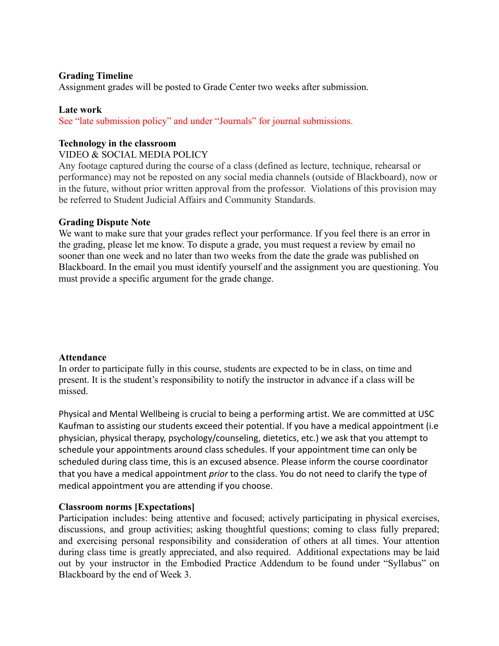## **Grading Timeline**

Assignment grades will be posted to Grade Center two weeks after submission.

## **Late work**

See "late submission policy" and under "Journals" for journal submissions.

## **Technology in the classroom**

## VIDEO & SOCIAL MEDIA POLICY

Any footage captured during the course of a class (defined as lecture, technique, rehearsal or performance) may not be reposted on any social media channels (outside of Blackboard), now or in the future, without prior written approval from the professor. Violations of this provision may be referred to Student Judicial Affairs and Community Standards.

## **Grading Dispute Note**

We want to make sure that your grades reflect your performance. If you feel there is an error in the grading, please let me know. To dispute a grade, you must request a review by email no sooner than one week and no later than two weeks from the date the grade was published on Blackboard. In the email you must identify yourself and the assignment you are questioning. You must provide a specific argument for the grade change.

#### **Attendance**

In order to participate fully in this course, students are expected to be in class, on time and present. It is the student's responsibility to notify the instructor in advance if a class will be missed.

Physical and Mental Wellbeing is crucial to being a performing artist. We are committed at USC Kaufman to assisting our students exceed their potential. If you have a medical appointment (i.e physician, physical therapy, psychology/counseling, dietetics, etc.) we ask that you attempt to schedule your appointments around class schedules. If your appointment time can only be scheduled during class time, this is an excused absence. Please inform the course coordinator that you have a medical appointment *prior* to the class. You do not need to clarify the type of medical appointment you are attending if you choose.

## **Classroom norms [Expectations]**

Participation includes: being attentive and focused; actively participating in physical exercises, discussions, and group activities; asking thoughtful questions; coming to class fully prepared; and exercising personal responsibility and consideration of others at all times. Your attention during class time is greatly appreciated, and also required. Additional expectations may be laid out by your instructor in the Embodied Practice Addendum to be found under "Syllabus" on Blackboard by the end of Week 3.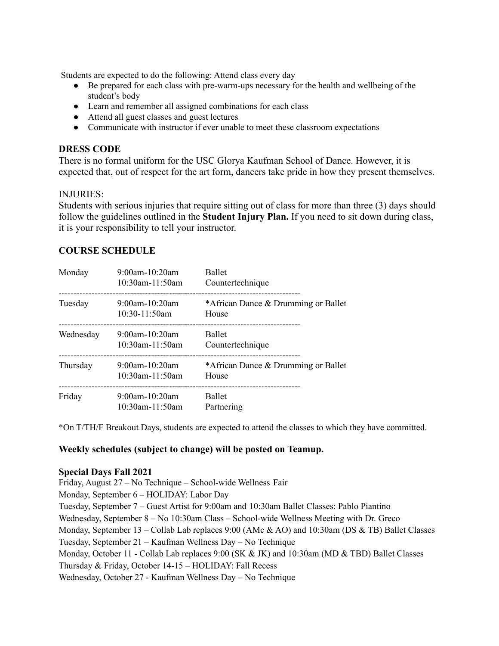Students are expected to do the following: Attend class every day

- Be prepared for each class with pre-warm-ups necessary for the health and wellbeing of the student's body
- Learn and remember all assigned combinations for each class
- Attend all guest classes and guest lectures
- Communicate with instructor if ever unable to meet these classroom expectations

## **DRESS CODE**

There is no formal uniform for the USC Glorya Kaufman School of Dance. However, it is expected that, out of respect for the art form, dancers take pride in how they present themselves.

## INJURIES:

Students with serious injuries that require sitting out of class for more than three (3) days should follow the guidelines outlined in the **Student Injury Plan.** If you need to sit down during class, it is your responsibility to tell your instructor.

## **COURSE SCHEDULE**

| Monday    | $9:00$ am-10:20am<br>10:30am-11:50am | <b>Ballet</b><br>Countertechnique            |
|-----------|--------------------------------------|----------------------------------------------|
| Tuesday   | $9:00$ am-10:20am<br>$10:30-11:50am$ | *African Dance & Drumming or Ballet<br>House |
| Wednesday | 9:00am-10:20am<br>$10:30$ am-11:50am | <b>Ballet</b><br>Countertechnique            |
| Thursday  | 9:00am-10:20am<br>$10:30$ am-11:50am | *African Dance & Drumming or Ballet<br>House |
| Friday    | $9:00$ am-10:20am<br>10:30am-11:50am | <b>Ballet</b><br>Partnering                  |

\*On T/TH/F Breakout Days, students are expected to attend the classes to which they have committed.

## **Weekly schedules (subject to change) will be posted on Teamup.**

#### **Special Days Fall 2021**

Friday, August 27 – No Technique – School-wide Wellness Fair Monday, September 6 – HOLIDAY: Labor Day Tuesday, September 7 – Guest Artist for 9:00am and 10:30am Ballet Classes: Pablo Piantino Wednesday, September 8 – No 10:30am Class – School-wide Wellness Meeting with Dr. Greco Monday, September 13 – Collab Lab replaces 9:00 (AMc & AO) and 10:30am (DS & TB) Ballet Classes Tuesday, September 21 – Kaufman Wellness Day – No Technique Monday, October 11 - Collab Lab replaces 9:00 (SK & JK) and 10:30am (MD & TBD) Ballet Classes Thursday & Friday, October 14-15 – HOLIDAY: Fall Recess Wednesday, October 27 - Kaufman Wellness Day – No Technique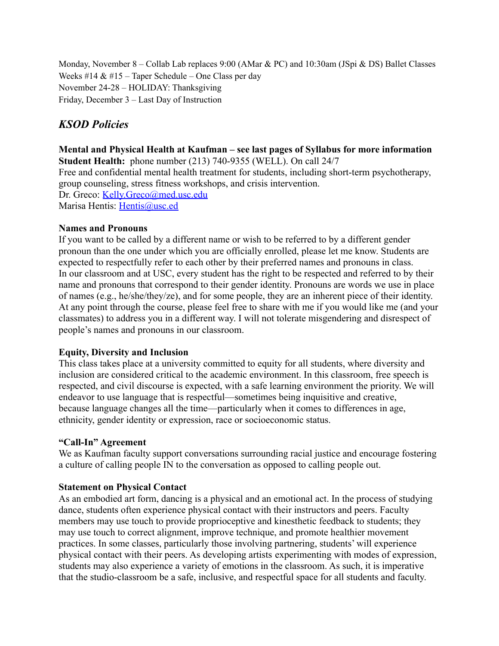Monday, November 8 – Collab Lab replaces 9:00 (AMar & PC) and 10:30am (JSpi & DS) Ballet Classes Weeks #14  $& 415$  – Taper Schedule – One Class per day November 24-28 – HOLIDAY: Thanksgiving Friday, December 3 – Last Day of Instruction

# *KSOD Policies*

**Mental and Physical Health at Kaufman – see last pages of Syllabus for more information Student Health:** phone number (213) 740-9355 (WELL). On call 24/7 Free and confidential mental health treatment for students, including short-term psychotherapy, group counseling, stress fitness workshops, and crisis intervention. Dr. Greco: Kelly.Greco@med.usc.edu Marisa Hentis: Hentis@usc.ed

## **Names and Pronouns**

If you want to be called by a different name or wish to be referred to by a different gender pronoun than the one under which you are officially enrolled, please let me know. Students are expected to respectfully refer to each other by their preferred names and pronouns in class. In our classroom and at USC, every student has the right to be respected and referred to by their name and pronouns that correspond to their gender identity. Pronouns are words we use in place of names (e.g., he/she/they/ze), and for some people, they are an inherent piece of their identity. At any point through the course, please feel free to share with me if you would like me (and your classmates) to address you in a different way. I will not tolerate misgendering and disrespect of people's names and pronouns in our classroom.

# **Equity, Diversity and Inclusion**

This class takes place at a university committed to equity for all students, where diversity and inclusion are considered critical to the academic environment. In this classroom, free speech is respected, and civil discourse is expected, with a safe learning environment the priority. We will endeavor to use language that is respectful—sometimes being inquisitive and creative, because language changes all the time—particularly when it comes to differences in age, ethnicity, gender identity or expression, race or socioeconomic status.

## **"Call-In" Agreement**

We as Kaufman faculty support conversations surrounding racial justice and encourage fostering a culture of calling people IN to the conversation as opposed to calling people out.

## **Statement on Physical Contact**

As an embodied art form, dancing is a physical and an emotional act. In the process of studying dance, students often experience physical contact with their instructors and peers. Faculty members may use touch to provide proprioceptive and kinesthetic feedback to students; they may use touch to correct alignment, improve technique, and promote healthier movement practices. In some classes, particularly those involving partnering, students' will experience physical contact with their peers. As developing artists experimenting with modes of expression, students may also experience a variety of emotions in the classroom. As such, it is imperative that the studio-classroom be a safe, inclusive, and respectful space for all students and faculty.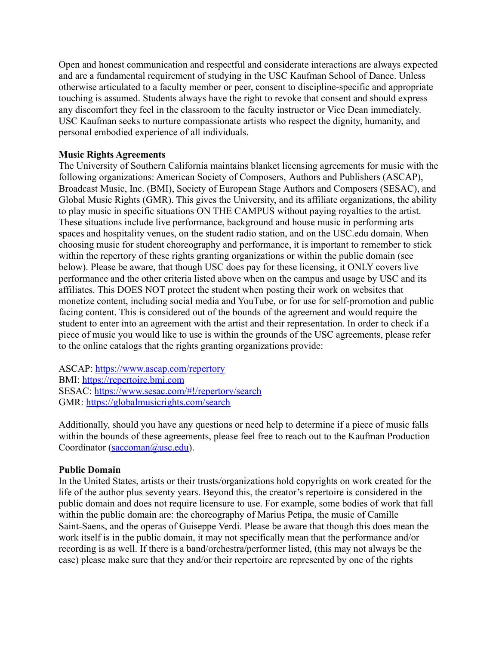Open and honest communication and respectful and considerate interactions are always expected and are a fundamental requirement of studying in the USC Kaufman School of Dance. Unless otherwise articulated to a faculty member or peer, consent to discipline-specific and appropriate touching is assumed. Students always have the right to revoke that consent and should express any discomfort they feel in the classroom to the faculty instructor or Vice Dean immediately. USC Kaufman seeks to nurture compassionate artists who respect the dignity, humanity, and personal embodied experience of all individuals.

# **Music Rights Agreements**

The University of Southern California maintains blanket licensing agreements for music with the following organizations: American Society of Composers, Authors and Publishers (ASCAP), Broadcast Music, Inc. (BMI), Society of European Stage Authors and Composers (SESAC), and Global Music Rights (GMR). This gives the University, and its affiliate organizations, the ability to play music in specific situations ON THE CAMPUS without paying royalties to the artist. These situations include live performance, background and house music in performing arts spaces and hospitality venues, on the student radio station, and on the USC.edu domain. When choosing music for student choreography and performance, it is important to remember to stick within the repertory of these rights granting organizations or within the public domain (see below). Please be aware, that though USC does pay for these licensing, it ONLY covers live performance and the other criteria listed above when on the campus and usage by USC and its affiliates. This DOES NOT protect the student when posting their work on websites that monetize content, including social media and YouTube, or for use for self-promotion and public facing content. This is considered out of the bounds of the agreement and would require the student to enter into an agreement with the artist and their representation. In order to check if a piece of music you would like to use is within the grounds of the USC agreements, please refer to the online catalogs that the rights granting organizations provide:

ASCAP: <https://www.ascap.com/repertory> BMI: <https://repertoire.bmi.com> SESAC: <https://www.sesac.com/#!/repertory/search> GMR: <https://globalmusicrights.com/search>

Additionally, should you have any questions or need help to determine if a piece of music falls within the bounds of these agreements, please feel free to reach out to the Kaufman Production Coordinator (saccoman@usc.edu).

# **Public Domain**

In the United States, artists or their trusts/organizations hold copyrights on work created for the life of the author plus seventy years. Beyond this, the creator's repertoire is considered in the public domain and does not require licensure to use. For example, some bodies of work that fall within the public domain are: the choreography of Marius Petipa, the music of Camille Saint-Saens, and the operas of Guiseppe Verdi. Please be aware that though this does mean the work itself is in the public domain, it may not specifically mean that the performance and/or recording is as well. If there is a band/orchestra/performer listed, (this may not always be the case) please make sure that they and/or their repertoire are represented by one of the rights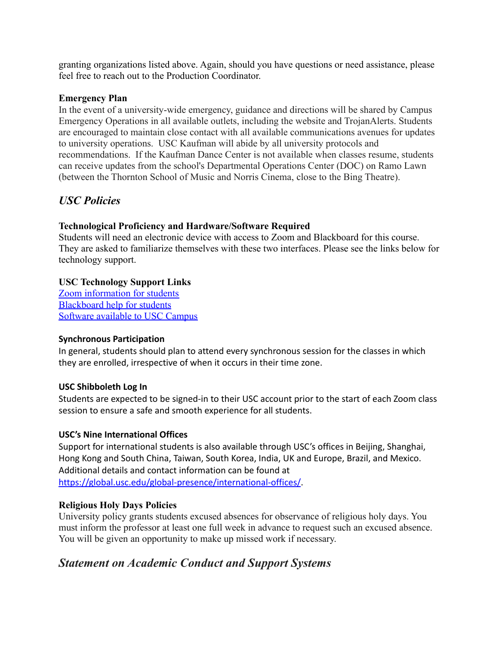granting organizations listed above. Again, should you have questions or need assistance, please feel free to reach out to the Production Coordinator.

# **Emergency Plan**

In the event of a university-wide emergency, guidance and directions will be shared by Campus Emergency Operations in all available outlets, including the website and TrojanAlerts. Students are encouraged to maintain close contact with all available communications avenues for updates to university operations. USC Kaufman will abide by all university protocols and recommendations. If the Kaufman Dance Center is not available when classes resume, students can receive updates from the school's Departmental Operations Center (DOC) on Ramo Lawn (between the Thornton School of Music and Norris Cinema, close to the Bing Theatre).

# *USC Policies*

# **Technological Proficiency and Hardware/Software Required**

Students will need an electronic device with access to Zoom and Blackboard for this course. They are asked to familiarize themselves with these two interfaces. Please see the links below for technology support.

# **USC Technology Support Links**

[Zoom information for students](https://keepteaching.usc.edu/students/student-toolkit/classroom/zoom/) [Blackboard help for students](https://studentblackboardhelp.usc.edu/) [Software available to USC Campus](https://software.usc.edu/)

# **Synchronous Participation**

In general, students should plan to attend every synchronous session for the classes in which they are enrolled, irrespective of when it occurs in their time zone.

# **USC Shibboleth Log In**

Students are expected to be signed-in to their USC account prior to the start of each Zoom class session to ensure a safe and smooth experience for all students.

# **USC's Nine International Offices**

Support for international students is also available through USC's offices in Beijing, Shanghai, Hong Kong and South China, Taiwan, South Korea, India, UK and Europe, Brazil, and Mexico. Additional details and contact information can be found at [https://global.usc.edu/global-presence/international-offices/](http://click.comms.usc.edu/?qs=c79d21e58ec0c0385407e9af52d74744c7d898474dab66d4963816ae0f15c672d2e4c5d0df213a49a55b55494b5ffe13afbf57b2693386b1).

# **Religious Holy Days Policies**

University policy grants students excused absences for observance of religious holy days. You must inform the professor at least one full week in advance to request such an excused absence. You will be given an opportunity to make up missed work if necessary.

# *Statement on Academic Conduct and Support Systems*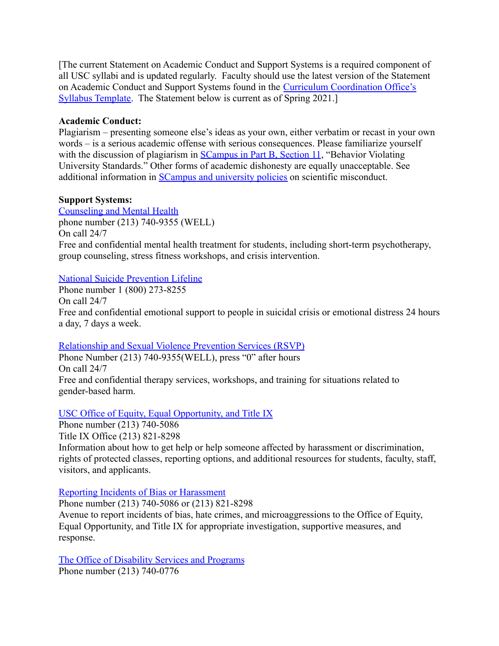[The current Statement on Academic Conduct and Support Systems is a required component of all USC syllabi and is updated regularly. Faculty should use the latest version of the Statement on Academic Conduct and Support Systems found in the [Curriculum Coordination Office's](http://arr.usc.edu/services/curriculum/resources.html) [Syllabus Template.](http://arr.usc.edu/services/curriculum/resources.html) The Statement below is current as of Spring 2021.

# **Academic Conduct:**

Plagiarism – presenting someone else's ideas as your own, either verbatim or recast in your own words – is a serious academic offense with serious consequences. Please familiarize yourself with the discussion of plagiarism in **[SCampus in Part](http://policy.usc.edu/scampus-part-b) B**, Section 11, "Behavior Violating University Standards." Other forms of academic dishonesty are equally unacceptable. See additional information in [SCampus and university policies](http://policy.usc.edu/scientific-misconduct) on scientific misconduct.

# **Support Systems:**

[Counseling and Mental Health](http://studenthealth.usc.edu/counseling) phone number (213) 740-9355 (WELL) On call 24/7 Free and confidential mental health treatment for students, including short-term psychotherapy, group counseling, stress fitness workshops, and crisis intervention.

# [National Suicide Prevention Lifeline](http://suicidepreventionlifeline.org/)

Phone number 1 (800) 273-8255 On call 24/7 Free and confidential emotional support to people in suicidal crisis or emotional distress 24 hours a day, 7 days a week.

## [Relationship and Sexual Violence Prevention Services](http://studenthealth.usc.edu/sexual-assault) (RSVP)

Phone Number (213) 740-9355(WELL), press "0" after hours On call 24/7 Free and confidential therapy services, workshops, and training for situations related to gender-based harm.

# [USC Office of Equity, Equal Opportunity, and Title](https://eeotix.usc.edu/) IX

Phone number (213) 740-5086 Title IX Office (213) 821-8298 Information about how to get help or help someone affected by harassment or discrimination, rights of protected classes, reporting options, and additional resources for students, faculty, staff, visitors, and applicants.

[Reporting Incidents of Bias or Harassment](https://usc-advocate.symplicity.com/care_report/index.php/pid251030?)

Phone number (213) 740-5086 or (213) 821-8298 Avenue to report incidents of bias, hate crimes, and microaggressions to the Office of Equity, Equal Opportunity, and Title IX for appropriate investigation, supportive measures, and response.

[The Office of Disability Services and Programs](http://dsp.usc.edu/) Phone number (213) 740-0776